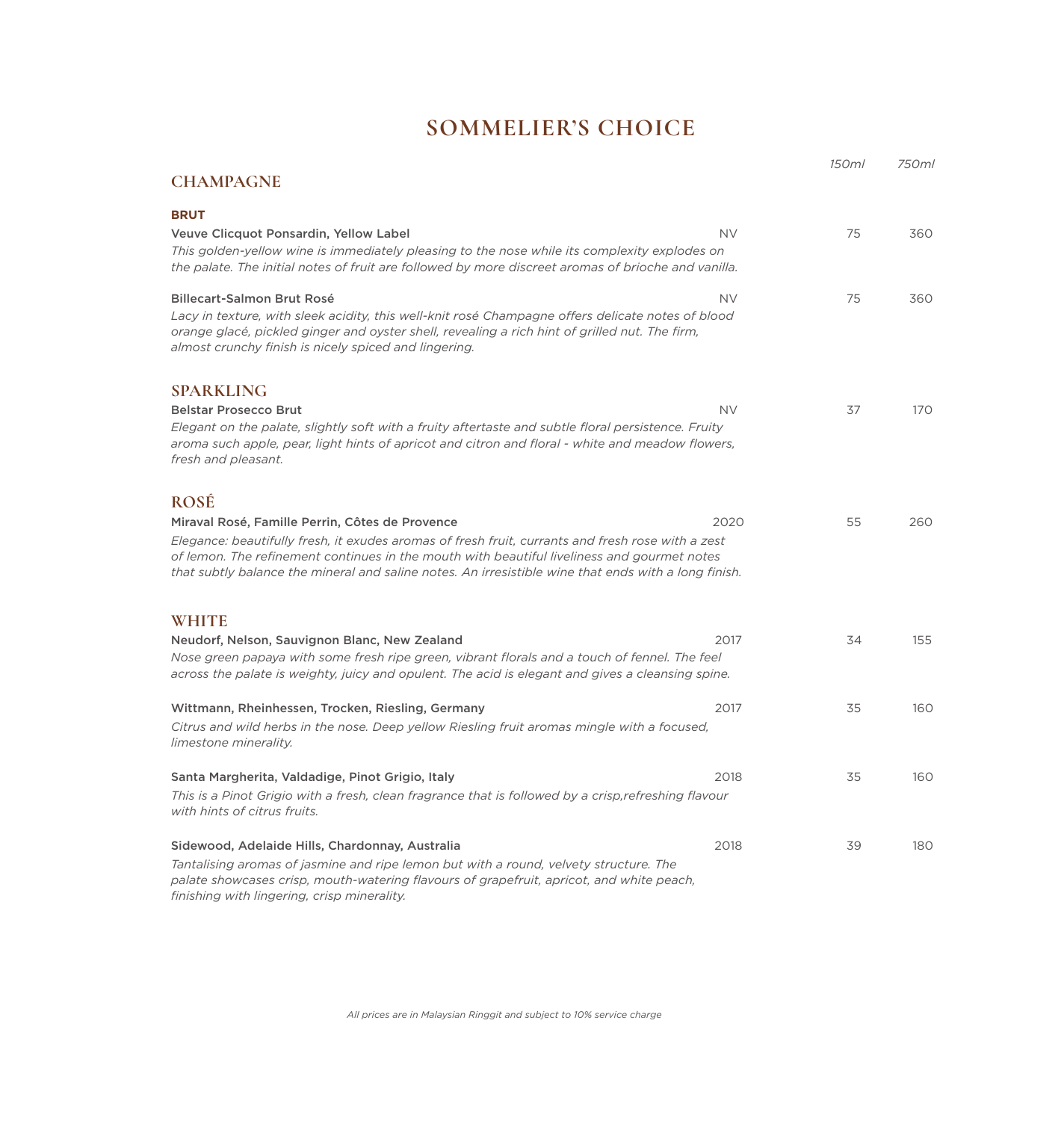## **SOMMELIER'S CHOICE**

|                                                                                                                                                                                                                                                                                                                                                             |           | 150ml | 750ml |
|-------------------------------------------------------------------------------------------------------------------------------------------------------------------------------------------------------------------------------------------------------------------------------------------------------------------------------------------------------------|-----------|-------|-------|
| <b>CHAMPAGNE</b>                                                                                                                                                                                                                                                                                                                                            |           |       |       |
| <b>BRUT</b>                                                                                                                                                                                                                                                                                                                                                 |           |       |       |
| Veuve Clicquot Ponsardin, Yellow Label<br>This golden-yellow wine is immediately pleasing to the nose while its complexity explodes on<br>the palate. The initial notes of fruit are followed by more discreet aromas of brioche and vanilla.                                                                                                               | <b>NV</b> | 75    | 360   |
| Billecart-Salmon Brut Rosé<br>Lacy in texture, with sleek acidity, this well-knit rosé Champagne offers delicate notes of blood<br>orange glacé, pickled ginger and oyster shell, revealing a rich hint of grilled nut. The firm,<br>almost crunchy finish is nicely spiced and lingering.                                                                  | <b>NV</b> | 75    | 360   |
| <b>SPARKLING</b>                                                                                                                                                                                                                                                                                                                                            |           |       |       |
| <b>Belstar Prosecco Brut</b><br>Elegant on the palate, slightly soft with a fruity aftertaste and subtle floral persistence. Fruity<br>aroma such apple, pear, light hints of apricot and citron and floral - white and meadow flowers,<br>fresh and pleasant.                                                                                              | <b>NV</b> | 37    | 170   |
| <b>ROSÉ</b>                                                                                                                                                                                                                                                                                                                                                 |           |       |       |
| Miraval Rosé, Famille Perrin, Côtes de Provence<br>Elegance: beautifully fresh, it exudes aromas of fresh fruit, currants and fresh rose with a zest<br>of lemon. The refinement continues in the mouth with beautiful liveliness and gourmet notes<br>that subtly balance the mineral and saline notes. An irresistible wine that ends with a long finish. | 2020      | 55    | 260   |
| <b>WHITE</b>                                                                                                                                                                                                                                                                                                                                                |           |       |       |
| Neudorf, Nelson, Sauvignon Blanc, New Zealand<br>Nose green papaya with some fresh ripe green, vibrant florals and a touch of fennel. The feel<br>across the palate is weighty, juicy and opulent. The acid is elegant and gives a cleansing spine.                                                                                                         | 2017      | 34    | 155   |
| Wittmann, Rheinhessen, Trocken, Riesling, Germany<br>Citrus and wild herbs in the nose. Deep yellow Riesling fruit aromas mingle with a focused,<br>limestone minerality.                                                                                                                                                                                   | 2017      | 35    | 160   |
| Santa Margherita, Valdadige, Pinot Grigio, Italy<br>This is a Pinot Grigio with a fresh, clean fragrance that is followed by a crisp, refreshing flavour<br>with hints of citrus fruits.                                                                                                                                                                    | 2018      | 35    | 160   |
| Sidewood, Adelaide Hills, Chardonnay, Australia<br>Tantalising aromas of jasmine and ripe lemon but with a round, velvety structure. The<br>palate showcases crisp, mouth-watering flavours of grapefruit, apricot, and white peach,<br>finishing with lingering, crisp minerality.                                                                         | 2018      | 39    | 180   |